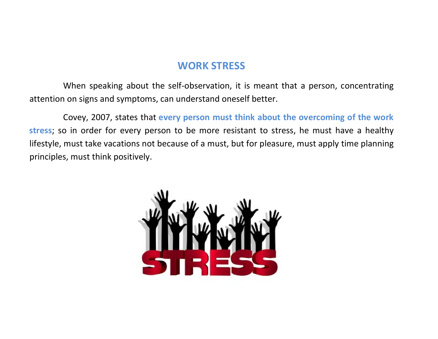## WORK STRESS

 When speaking about the self-observation, it is meant that a person, concentrating attention on signs and symptoms, can understand oneself better.

 Covey, 2007, states that every person must think about the overcoming of the work stress; so in order for every person to be more resistant to stress, he must have a healthy lifestyle, must take vacations not because of a must, but for pleasure, must apply time planning principles, must think positively.

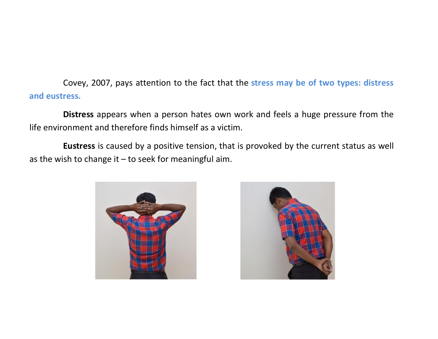Covey, 2007, pays attention to the fact that the stress may be of two types: distress and eustress.

Distress appears when a person hates own work and feels a huge pressure from the life environment and therefore finds himself as a victim.

Eustress is caused by a positive tension, that is provoked by the current status as well as the wish to change it – to seek for meaningful aim.